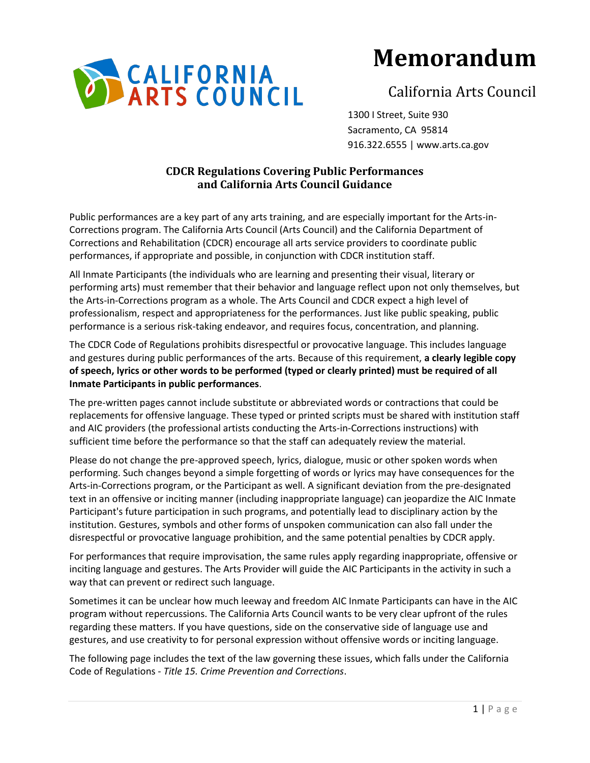

# **Memorandum**

## California Arts Council

1300 I Street, Suite 930 Sacramento, CA 95814 916.322.6555 | www.arts.ca.gov

## **CDCR Regulations Covering Public Performances and California Arts Council Guidance**

Public performances are a key part of any arts training, and are especially important for the Arts-in-Corrections program. The California Arts Council (Arts Council) and the California Department of Corrections and Rehabilitation (CDCR) encourage all arts service providers to coordinate public performances, if appropriate and possible, in conjunction with CDCR institution staff.

All Inmate Participants (the individuals who are learning and presenting their visual, literary or performing arts) must remember that their behavior and language reflect upon not only themselves, but the Arts-in-Corrections program as a whole. The Arts Council and CDCR expect a high level of professionalism, respect and appropriateness for the performances. Just like public speaking, public performance is a serious risk-taking endeavor, and requires focus, concentration, and planning.

The CDCR Code of Regulations prohibits disrespectful or provocative language. This includes language and gestures during public performances of the arts. Because of this requirement, **a clearly legible copy of speech, lyrics or other words to be performed (typed or clearly printed) must be required of all Inmate Participants in public performances**.

The pre-written pages cannot include substitute or abbreviated words or contractions that could be replacements for offensive language. These typed or printed scripts must be shared with institution staff and AIC providers (the professional artists conducting the Arts-in-Corrections instructions) with sufficient time before the performance so that the staff can adequately review the material.

Please do not change the pre-approved speech, lyrics, dialogue, music or other spoken words when performing. Such changes beyond a simple forgetting of words or lyrics may have consequences for the Arts-in-Corrections program, or the Participant as well. A significant deviation from the pre-designated text in an offensive or inciting manner (including inappropriate language) can jeopardize the AIC Inmate Participant's future participation in such programs, and potentially lead to disciplinary action by the institution. Gestures, symbols and other forms of unspoken communication can also fall under the disrespectful or provocative language prohibition, and the same potential penalties by CDCR apply.

For performances that require improvisation, the same rules apply regarding inappropriate, offensive or inciting language and gestures. The Arts Provider will guide the AIC Participants in the activity in such a way that can prevent or redirect such language.

Sometimes it can be unclear how much leeway and freedom AIC Inmate Participants can have in the AIC program without repercussions. The California Arts Council wants to be very clear upfront of the rules regarding these matters. If you have questions, side on the conservative side of language use and gestures, and use creativity to for personal expression without offensive words or inciting language.

The following page includes the text of the law governing these issues, which falls under the California Code of Regulations - *Title 15. Crime Prevention and Corrections*.